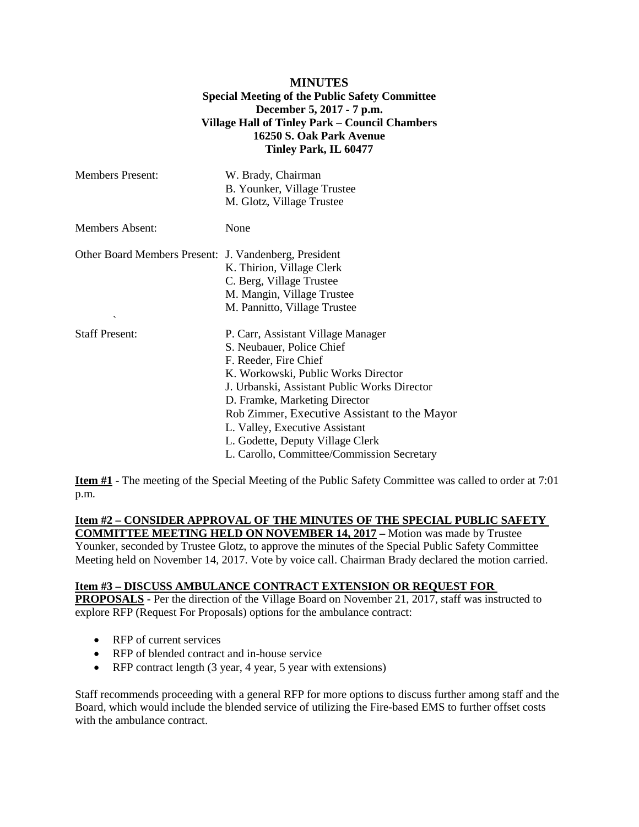## **MINUTES Special Meeting of the Public Safety Committee December 5, 2017 - 7 p.m. Village Hall of Tinley Park – Council Chambers 16250 S. Oak Park Avenue Tinley Park, IL 60477**

| <b>Members Present:</b>                                                           | W. Brady, Chairman<br>B. Younker, Village Trustee<br>M. Glotz, Village Trustee                                                                                                                                                                                                                                                                                                       |
|-----------------------------------------------------------------------------------|--------------------------------------------------------------------------------------------------------------------------------------------------------------------------------------------------------------------------------------------------------------------------------------------------------------------------------------------------------------------------------------|
| <b>Members Absent:</b>                                                            | None                                                                                                                                                                                                                                                                                                                                                                                 |
| Other Board Members Present: J. Vandenberg, President<br>$\overline{\phantom{a}}$ | K. Thirion, Village Clerk<br>C. Berg, Village Trustee<br>M. Mangin, Village Trustee<br>M. Pannitto, Village Trustee                                                                                                                                                                                                                                                                  |
| <b>Staff Present:</b>                                                             | P. Carr, Assistant Village Manager<br>S. Neubauer, Police Chief<br>F. Reeder, Fire Chief<br>K. Workowski, Public Works Director<br>J. Urbanski, Assistant Public Works Director<br>D. Framke, Marketing Director<br>Rob Zimmer, Executive Assistant to the Mayor<br>L. Valley, Executive Assistant<br>L. Godette, Deputy Village Clerk<br>L. Carollo, Committee/Commission Secretary |

**Item #1** - The meeting of the Special Meeting of the Public Safety Committee was called to order at 7:01 p.m.

## **Item #2 – CONSIDER APPROVAL OF THE MINUTES OF THE SPECIAL PUBLIC SAFETY COMMITTEE MEETING HELD ON NOVEMBER 14, 2017 –** Motion was made by Trustee

Younker, seconded by Trustee Glotz, to approve the minutes of the Special Public Safety Committee Meeting held on November 14, 2017. Vote by voice call. Chairman Brady declared the motion carried.

## **Item #3 – DISCUSS AMBULANCE CONTRACT EXTENSION OR REQUEST FOR**

**PROPOSALS** - Per the direction of the Village Board on November 21, 2017, staff was instructed to explore RFP (Request For Proposals) options for the ambulance contract:

- RFP of current services
- RFP of blended contract and in-house service
- RFP contract length (3 year, 4 year, 5 year with extensions)

Staff recommends proceeding with a general RFP for more options to discuss further among staff and the Board, which would include the blended service of utilizing the Fire-based EMS to further offset costs with the ambulance contract.